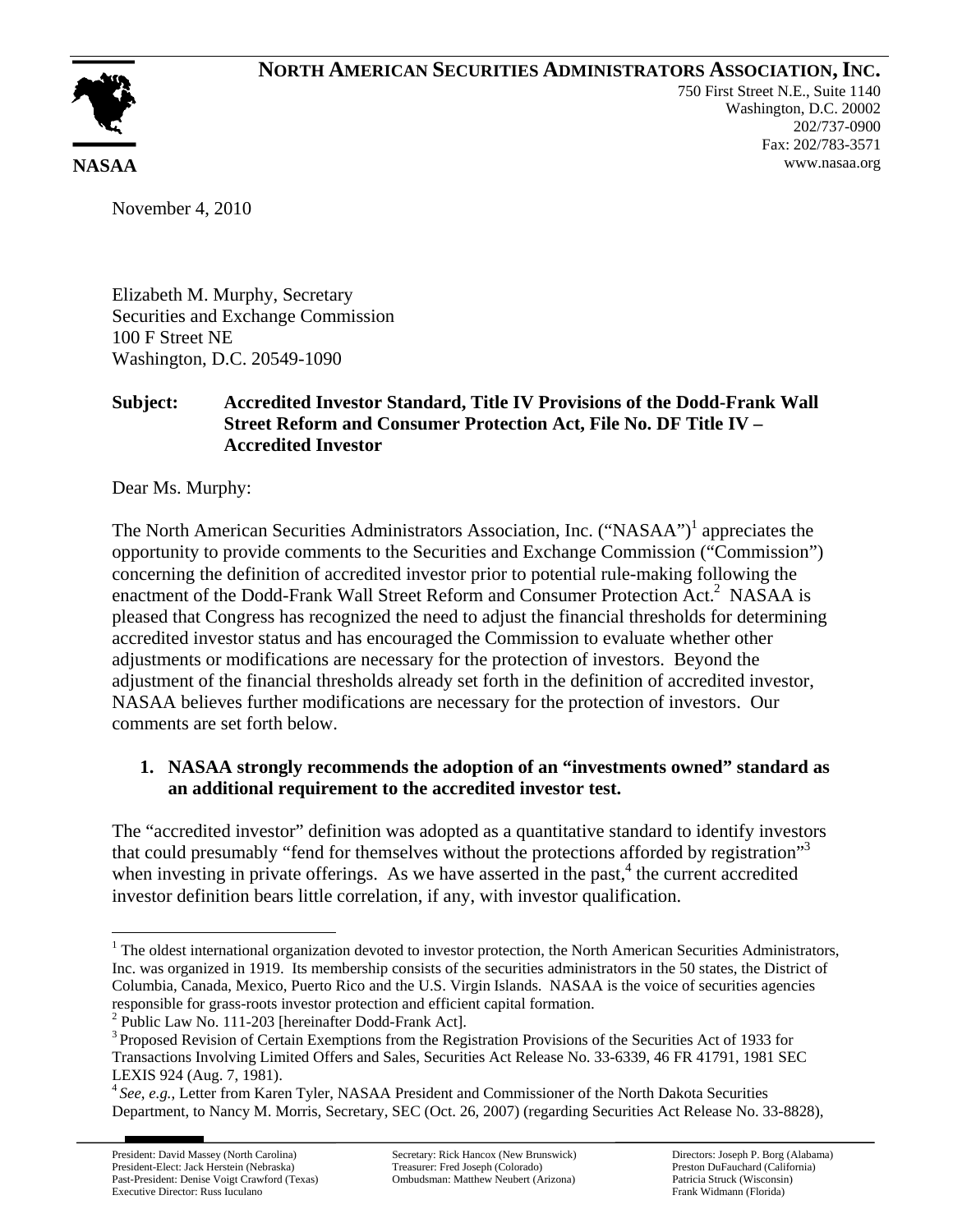## **NORTH AMERICAN SECURITIES ADMINISTRATORS ASSOCIATION, INC.**



750 First Street N.E., Suite 1140 Washington, D.C. 20002 202/737-0900 Fax: 202/783-3571 **NASAA** www.nasaa.org

November 4, 2010

Elizabeth M. Murphy, Secretary Securities and Exchange Commission 100 F Street NE Washington, D.C. 20549-1090

## **Subject: Accredited Investor Standard, Title IV Provisions of the Dodd-Frank Wall Street Reform and Consumer Protection Act, File No. DF Title IV – Accredited Investor**

Dear Ms. Murphy:

The North American Securities Administrators Association, Inc. ("NASAA")<sup>1</sup> appreciates the opportunity to provide comments to the Securities and Exchange Commission ("Commission") concerning the definition of accredited investor prior to potential rule-making following the enactment of the Dodd-Frank Wall Street Reform and Consumer Protection Act.<sup>2</sup> NASAA is pleased that Congress has recognized the need to adjust the financial thresholds for determining accredited investor status and has encouraged the Commission to evaluate whether other adjustments or modifications are necessary for the protection of investors. Beyond the adjustment of the financial thresholds already set forth in the definition of accredited investor, NASAA believes further modifications are necessary for the protection of investors. Our comments are set forth below.

## **1. NASAA strongly recommends the adoption of an "investments owned" standard as an additional requirement to the accredited investor test.**

The "accredited investor" definition was adopted as a quantitative standard to identify investors that could presumably "fend for themselves without the protections afforded by registration"3 when investing in private offerings. As we have asserted in the past, $4$  the current accredited investor definition bears little correlation, if any, with investor qualification.

2 Public Law No. 111-203 [hereinafter Dodd-Frank Act].

1

 $1$  The oldest international organization devoted to investor protection, the North American Securities Administrators, Inc. was organized in 1919. Its membership consists of the securities administrators in the 50 states, the District of Columbia, Canada, Mexico, Puerto Rico and the U.S. Virgin Islands. NASAA is the voice of securities agencies responsible for grass-roots investor protection and efficient capital formation.

 Transactions Involving Limited Offers and Sales, Securities Act Release No. 33-6339, 46 FR 41791, 1981 SEC 3 Proposed Revision of Certain Exemptions from the Registration Provisions of the Securities Act of 1933 for LEXIS 924 (Aug. 7, 1981).

<sup>4</sup>*See*, *e.g.*, Letter from Karen Tyler, NASAA President and Commissioner of the North Dakota Securities Department, to Nancy M. Morris, Secretary, SEC (Oct. 26, 2007) (regarding Securities Act Release No. 33-8828),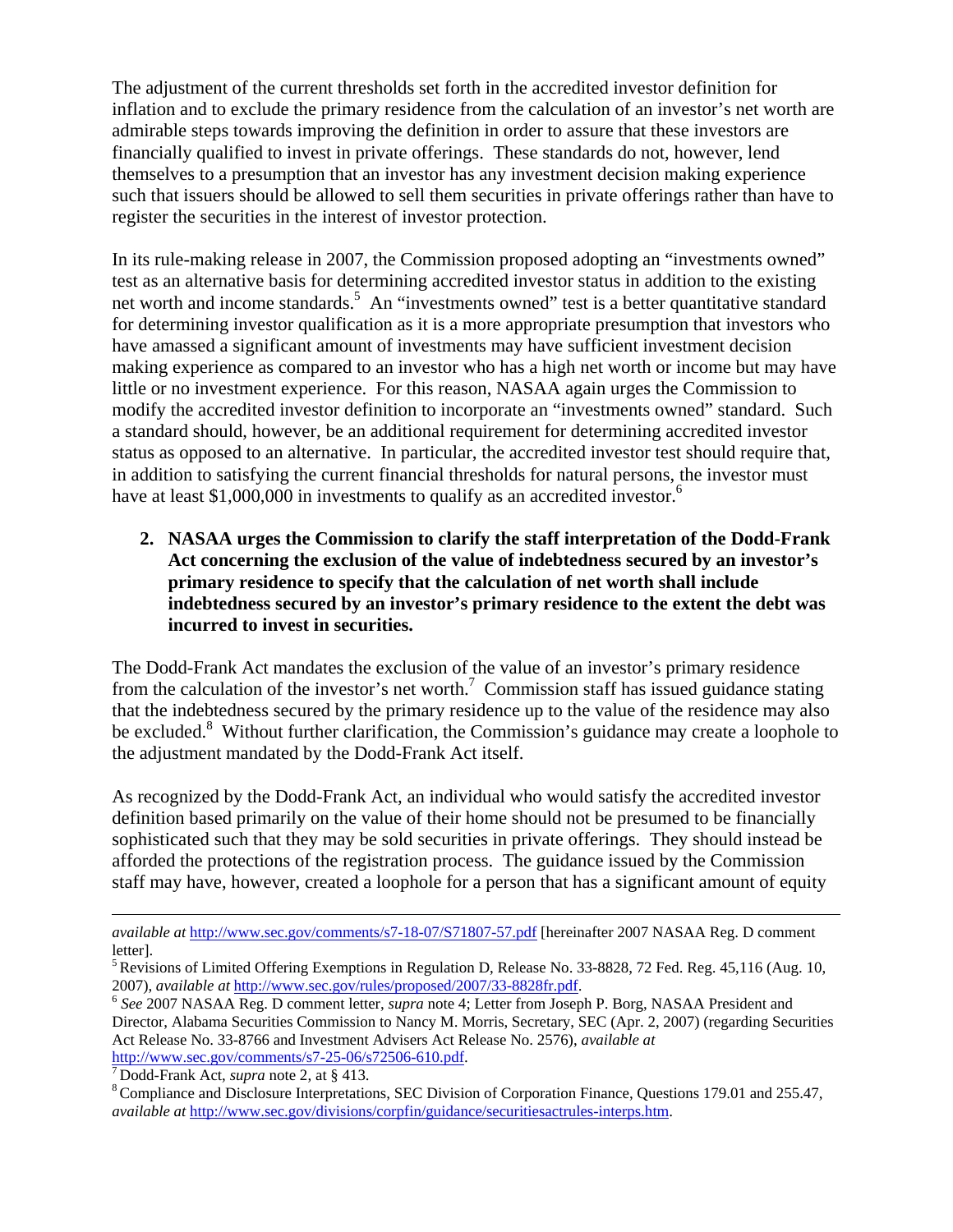The adjustment of the current thresholds set forth in the accredited investor definition for inflation and to exclude the primary residence from the calculation of an investor's net worth are admirable steps towards improving the definition in order to assure that these investors are financially qualified to invest in private offerings. These standards do not, however, lend themselves to a presumption that an investor has any investment decision making experience such that issuers should be allowed to sell them securities in private offerings rather than have to register the securities in the interest of investor protection.

In its rule-making release in 2007, the Commission proposed adopting an "investments owned" test as an alternative basis for determining accredited investor status in addition to the existing net worth and income standards.<sup>5</sup> An "investments owned" test is a better quantitative standard for determining investor qualification as it is a more appropriate presumption that investors who have amassed a significant amount of investments may have sufficient investment decision making experience as compared to an investor who has a high net worth or income but may have little or no investment experience. For this reason, NASAA again urges the Commission to modify the accredited investor definition to incorporate an "investments owned" standard. Such a standard should, however, be an additional requirement for determining accredited investor status as opposed to an alternative. In particular, the accredited investor test should require that, in addition to satisfying the current financial thresholds for natural persons, the investor must have at least \$1,000,000 in investments to qualify as an accredited investor.<sup>6</sup>

**2. NASAA urges the Commission to clarify the staff interpretation of the Dodd-Frank Act concerning the exclusion of the value of indebtedness secured by an investor's primary residence to specify that the calculation of net worth shall include indebtedness secured by an investor's primary residence to the extent the debt was incurred to invest in securities.** 

The Dodd-Frank Act mandates the exclusion of the value of an investor's primary residence from the calculation of the investor's net worth.<sup>7</sup> Commission staff has issued guidance stating that the indebtedness secured by the primary residence up to the value of the residence may also be excluded.<sup>8</sup> Without further clarification, the Commission's guidance may create a loophole to the adjustment mandated by the Dodd-Frank Act itself.

As recognized by the Dodd-Frank Act, an individual who would satisfy the accredited investor definition based primarily on the value of their home should not be presumed to be financially sophisticated such that they may be sold securities in private offerings. They should instead be afforded the protections of the registration process. The guidance issued by the Commission staff may have, however, created a loophole for a person that has a significant amount of equity

Director, Alabama Securities Commission to Nancy M. Morris, Secretary, SEC (Apr. 2, 2007) (regarding Securities Act Release No. 33-8766 and Investment Advisers Act Release No. 2576), *available at* http://www.sec.gov/comments/s7-25-06/s72506-610.pdf. 7 Dodd-Frank Act, *supra* note 2, at § 413.

1

*available at* http://www.sec.gov/comments/s7-18-07/S71807-57.pdf [hereinafter 2007 NASAA Reg. D comment letter].

<sup>&</sup>lt;sup>5</sup> Revisions of Limited Offering Exemptions in Regulation D, Release No. 33-8828, 72 Fed. Reg. 45,116 (Aug. 10, 2007), *available at* http://www.sec.gov/rules/proposed/2007/33-8828fr.pdf. 6 *See* 2007 NASAA Reg. D comment letter, *supra* note 4; Letter from Joseph P. Borg, NASAA President and

8 Compliance and Disclosure Interpretations, SEC Division of Corporation Finance, Questions 179.01 and 255.47, *available at* http://www.sec.gov/divisions/corpfin/guidance/securitiesactrules-interps.htm.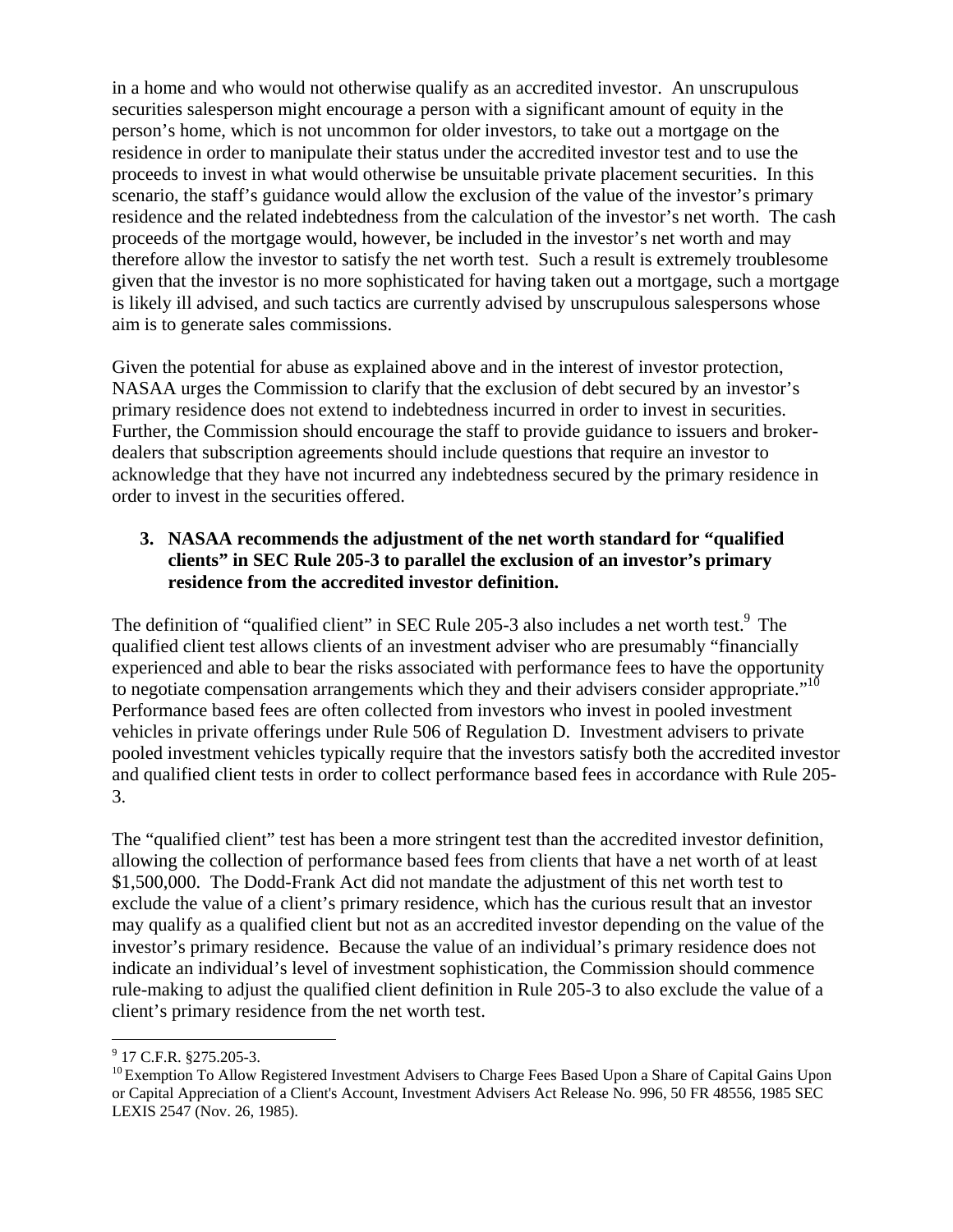in a home and who would not otherwise qualify as an accredited investor. An unscrupulous securities salesperson might encourage a person with a significant amount of equity in the person's home, which is not uncommon for older investors, to take out a mortgage on the residence in order to manipulate their status under the accredited investor test and to use the proceeds to invest in what would otherwise be unsuitable private placement securities. In this scenario, the staff's guidance would allow the exclusion of the value of the investor's primary residence and the related indebtedness from the calculation of the investor's net worth. The cash proceeds of the mortgage would, however, be included in the investor's net worth and may therefore allow the investor to satisfy the net worth test. Such a result is extremely troublesome given that the investor is no more sophisticated for having taken out a mortgage, such a mortgage is likely ill advised, and such tactics are currently advised by unscrupulous salespersons whose aim is to generate sales commissions.

Given the potential for abuse as explained above and in the interest of investor protection, NASAA urges the Commission to clarify that the exclusion of debt secured by an investor's primary residence does not extend to indebtedness incurred in order to invest in securities. Further, the Commission should encourage the staff to provide guidance to issuers and brokerdealers that subscription agreements should include questions that require an investor to acknowledge that they have not incurred any indebtedness secured by the primary residence in order to invest in the securities offered.

## **3. NASAA recommends the adjustment of the net worth standard for "qualified clients" in SEC Rule 205-3 to parallel the exclusion of an investor's primary residence from the accredited investor definition.**

to negotiate compensation arrangements which they and their advisers consider appropriate." $10$ The definition of "qualified client" in SEC Rule 205-3 also includes a net worth test.<sup>9</sup> The qualified client test allows clients of an investment adviser who are presumably "financially experienced and able to bear the risks associated with performance fees to have the opportunity Performance based fees are often collected from investors who invest in pooled investment vehicles in private offerings under Rule 506 of Regulation D. Investment advisers to private pooled investment vehicles typically require that the investors satisfy both the accredited investor and qualified client tests in order to collect performance based fees in accordance with Rule 205- 3.

The "qualified client" test has been a more stringent test than the accredited investor definition, allowing the collection of performance based fees from clients that have a net worth of at least \$1,500,000. The Dodd-Frank Act did not mandate the adjustment of this net worth test to exclude the value of a client's primary residence, which has the curious result that an investor may qualify as a qualified client but not as an accredited investor depending on the value of the investor's primary residence. Because the value of an individual's primary residence does not indicate an individual's level of investment sophistication, the Commission should commence rule-making to adjust the qualified client definition in Rule 205-3 to also exclude the value of a client's primary residence from the net worth test.

 9 17 C.F.R. §275.205-3.

 or Capital Appreciation of a Client's Account, Investment Advisers Act Release No. 996, 50 FR 48556, 1985 SEC <sup>10</sup> Exemption To Allow Registered Investment Advisers to Charge Fees Based Upon a Share of Capital Gains Upon LEXIS 2547 (Nov. 26, 1985).